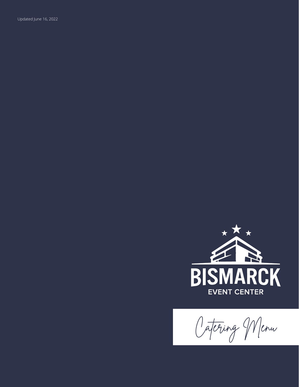Updated June 16, 2022



Catering Menu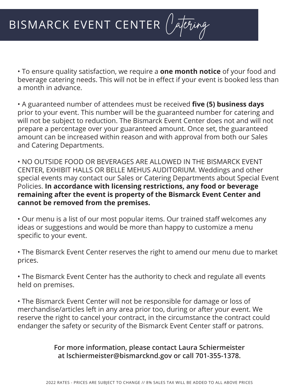• To ensure quality satisfaction, we require a **one month notice** of your food and beverage catering needs. This will not be in effect if your event is booked less than a month in advance.

• A guaranteed number of attendees must be received **five (5) business days** prior to your event. This number will be the guaranteed number for catering and will not be subject to reduction. The Bismarck Event Center does not and will not prepare a percentage over your guaranteed amount. Once set, the guaranteed amount can be increased within reason and with approval from both our Sales and Catering Departments.

• NO OUTSIDE FOOD OR BEVERAGES ARE ALLOWED IN THE BISMARCK EVENT CENTER, EXHIBIT HALLS OR BELLE MEHUS AUDITORIUM. Weddings and other special events may contact our Sales or Catering Departments about Special Event Policies. **In accordance with licensing restrictions, any food or beverage remaining after the event is property of the Bismarck Event Center and cannot be removed from the premises.**

• Our menu is a list of our most popular items. Our trained staff welcomes any ideas or suggestions and would be more than happy to customize a menu specific to your event.

• The Bismarck Event Center reserves the right to amend our menu due to market prices.

• The Bismarck Event Center has the authority to check and regulate all events held on premises.

• The Bismarck Event Center will not be responsible for damage or loss of merchandise/articles left in any area prior too, during or after your event. We reserve the right to cancel your contract, in the circumstance the contract could endanger the safety or security of the Bismarck Event Center staff or patrons.

> **For more information, please contact Laura Schiermeister at lschiermeister@bismarcknd.gov or call 701-355-1378.**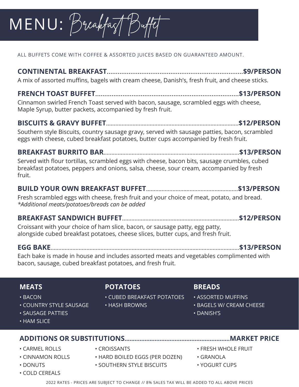# $MENU: B$ reakfast

ALL BUFFETS COME WITH COFFEE & ASSORTED JUICES BASED ON GUARANTEED AMOUNT.

**CONTINENTAL BREAKFAST**...........................................................................**\$9/PERSON** A mix of assorted muffins, bagels with cream cheese, Danish's, fresh fruit, and cheese sticks.

**FRENCH TOAST BUFFET**...............................................................................**\$13/PERSON** Cinnamon swirled French Toast served with bacon, sausage, scrambled eggs with cheese, Maple Syrup, butter packets, accompanied by fresh fruit.

### **BISCUITS & GRAVY BUFFET**.....................................................................................**\$12/PERSON**

Southern style Biscuits, country sausage gravy, served with sausage patties, bacon, scrambled eggs with cheese, cubed breakfast potatoes, butter cups accompanied by fresh fruit.

**BREAKFAST BURRITO BAR**.......................................................................................**\$13/PERSON** Served with flour tortillas, scrambled eggs with cheese, bacon bits, sausage crumbles, cubed breakfast potatoes, peppers and onions, salsa, cheese, sour cream, accompanied by fresh fruit.

### **BUILD YOUR OWN BREAKFAST BUFFET**...........................................................**\$13/PERSON**

Fresh scrambled eggs with cheese, fresh fruit and your choice of meat, potato, and bread. *\*Additional meats/potatoes/breads can be added*

### **BREAKFAST SANDWICH BUFFET**...........................................................................**\$12/PERSON**

Croissant with your choice of ham slice, bacon, or sausage patty, egg patty, alongside cubed breakfast potatoes, cheese slices, butter cups, and fresh fruit.

**EGG BAKE**.........................................................................................................................**\$13/PERSON**

Each bake is made in house and includes assorted meats and vegetables complimented with bacon, sausage, cubed breakfast potatoes, and fresh fruit.

### **MEATS**

- BACON
- COUNTRY STYLE SAUSAGE
- SAUSAGE PATTIES
- HAM SLICE

### **ADDITIONS OR SUBSTITUTIONS...............................................................MARKET PRICE**

- 
- 
- 
- COLD CEREALS

### **POTATOES**

- CUBED BREAKFAST POTATOES
- HASH BROWNS

### **BREADS**

- ASSORTED MUFFINS
- BAGELS W/ CREAM CHEESE
- DANISH'S
	-
- CARMEL ROLLS CROISSANTS FRESH WHOLE FRUIT
	-
	-
	- 2022 RATES PRICES ARE SUBJECT TO CHANGE // 8% SALES TAX WILL BE ADDED TO ALL ABOVE PRICES
- 
- CINNAMON ROLLS HARD BOILED EGGS (PER DOZEN) GRANOLA
- DONUTS SOUTHERN STYLE BISCUITS YOGURT CUPS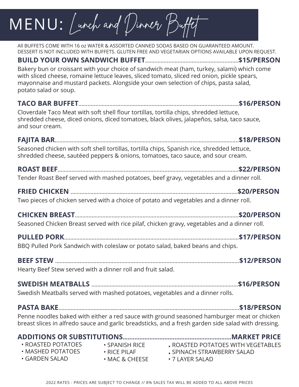### $MENU:$  Lunch and Dinner Buj

All BUFFETS COME WITH 16 oz WATER & ASSORTED CANNED SODAS BASED ON GUARANTEED AMOUNT. DESSERT IS NOT INCLUDED WITH BUFFETS. GLUTEN FREE AND VEGETARIAN OPTIONS AVAILABLE UPON REQUEST. **BUILD YOUR OWN SANDWICH BUFFET**……...................................................…**\$15/PERSON** Bakery bun or croissant with your choice of sandwich meat (ham, turkey, salami) which come with sliced cheese, romaine lettuce leaves, sliced tomato, sliced red onion, pickle spears, mayonnaise and mustard packets. Alongside your own selection of chips, pasta salad, potato salad or soup. **TACO BAR BUFFET**……..............................................................................................…**\$16/PERSON** Cloverdale Taco Meat with soft shell flour tortillas, tortilla chips, shredded lettuce, shredded cheese, diced onions, diced tomatoes, black olives, jalapeños, salsa, taco sauce, and sour cream. **FAJITA BAR**………….……………..………….........................................................………………..**\$18/PERSON** Seasoned chicken with soft shell tortillas, tortilla chips, Spanish rice, shredded lettuce, shredded cheese, sautéed peppers & onions, tomatoes, taco sauce, and sour cream. **ROAST BEEF**………………………….........................................................…..…………………….**\$22/PERSON** Tender Roast Beef served with mashed potatoes, beef gravy, vegetables and a dinner roll. **FRIED CHICKEN** ……………………………......................................................…………..…….**\$20/PERSON**  Two pieces of chicken served with a choice of potato and vegetables and a dinner roll. **CHICKEN BREAST**……………………………......................................................……………….**\$20/PERSON**  Seasoned Chicken Breast served with rice pilaf, chicken gravy, vegetables and a dinner roll. **PULLED PORK**……………………………………..........................................................………….**\$17/PERSON** BBQ Pulled Pork Sandwich with coleslaw or potato salad, baked beans and chips. **BEEF STEW** ……………………………......................................................…...........………..…….**\$12/PERSON**  Hearty Beef Stew served with a dinner roll and fruit salad. **SWEDISH MEATBALLS** ……………………………..............................…...........………..…….**\$16/PERSON**  Swedish Meatballs served with mashed potatoes, vegetables and a dinner rolls. **PASTA BAKE**………………………………...........................................................………………….**\$18/PERSON**  Penne noodles baked with either a red sauce with ground seasoned hamburger meat or chicken breast slices in alfredo sauce and garlic breadsticks, and a fresh garden side salad with dressing. **ADDITIONS OR SUBSTITUTIONS.................................................................MARKET PRICE** • ROASTED POTATOES WITH VEGETABLES • SPINACH STRAWBERRY SALAD • MAC & CHEESE • 7 LAYER SALAD • ROASTED POTATOES • MASHED POTATOES • GARDEN SALAD • SPANISH RICE • RICE PILAF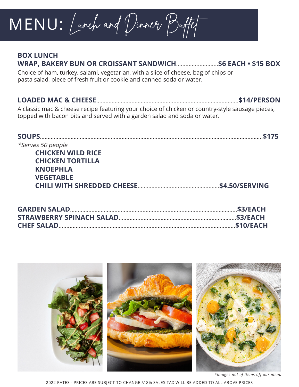## MENU: Lunch and Dinner Buffet

### **BOX LUNCH**

### **WRAP, BAKERY BUN OR CROISSANT SANDWICH**...........................**\$6 EACH • \$15 BOX**

Choice of ham, turkey, salami, vegetarian, with a slice of cheese, bag of chips or pasta salad, piece of fresh fruit or cookie and canned soda or water.

#### **LOADED MAC & CHEESE**…………………………...........................................………...…....**\$14/PERSON**

A classic mac & cheese recipe featuring your choice of chicken or country-style sausage pieces, topped with bacon bits and served with a garden salad and soda or water.

| <b>SOUPS.</b>            |                   |
|--------------------------|-------------------|
| <i>*Serves 50 people</i> |                   |
| <b>CHICKEN WILD RICE</b> |                   |
| <b>CHICKEN TORTILLA</b>  |                   |
| <b>KNOEPHLA</b>          |                   |
| <b>VEGETABLE</b>         |                   |
|                          | $$ \$4.50/SERVING |
|                          |                   |



2022 RATES - PRICES ARE SUBJECT TO CHANGE // 8% SALES TAX WILL BE ADDED TO ALL ABOVE PRICES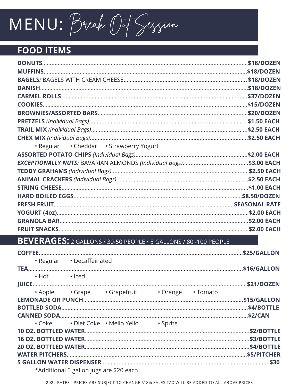# MENU: Break Out Session

### **FOOD ITEMS**

| • Regular • Cheddar • Strawberry Yogurt |  |
|-----------------------------------------|--|
|                                         |  |
|                                         |  |
|                                         |  |
|                                         |  |
|                                         |  |
|                                         |  |
|                                         |  |
|                                         |  |
|                                         |  |
|                                         |  |

### BEVERAGES: 2 GALLONS / 30-50 PEOPLE · 5 GALLONS / 80 -100 PEOPLE

|                          | · Regular · Decaffeinated               |                                           |                                                |  |
|--------------------------|-----------------------------------------|-------------------------------------------|------------------------------------------------|--|
|                          |                                         |                                           |                                                |  |
| $\cdot$ Hot $\cdot$ Iced |                                         |                                           |                                                |  |
|                          |                                         |                                           |                                                |  |
|                          |                                         |                                           | . Apple . Grape . Grapefruit . Orange . Tomato |  |
|                          |                                         |                                           |                                                |  |
|                          |                                         |                                           |                                                |  |
|                          |                                         |                                           |                                                |  |
|                          |                                         | • Coke • Diet Coke • Mello Yello • Sprite |                                                |  |
|                          |                                         |                                           |                                                |  |
|                          |                                         |                                           |                                                |  |
|                          |                                         |                                           |                                                |  |
|                          |                                         |                                           |                                                |  |
|                          |                                         |                                           |                                                |  |
|                          | *Additional 5 gallon jugs are \$20 each |                                           |                                                |  |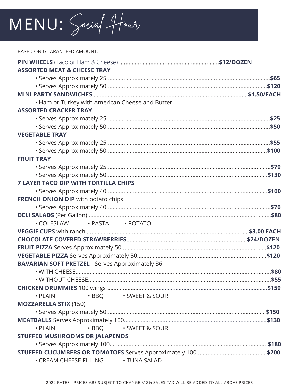## MENU: Social Hour

BASED ON GUARANTEED AMOUNT. **PIN WHEELS** (Taco or Ham & Cheese) ................................................................**\$12/DOZEN ASSORTED MEAT & CHEESE TRAY** • Serves Approximately 25.........................................................................................................**\$65** • Serves Approximately 50.......................................................................................................**\$120 MINI PARTY SANDWICHES**....................................................................................................**\$1.50/EACH** • Ham or Turkey with American Cheese and Butter **ASSORTED CRACKER TRAY** • Serves Approximately 25.........................................................................................................**\$25** • Serves Approximately 50.........................................................................................................**\$50 VEGETABLE TRAY** • Serves Approximately 25.........................................................................................................**\$55** • Serves Approximately 50.......................................................................................................**\$100 FRUIT TRAY** • Serves Approximately 25.........................................................................................................**\$70** • Serves Approximately 50.......................................................................................................**\$130 7 LAYER TACO DIP WITH TORTILLA CHIPS** • Serves Approximately 40.......................................................................................................**\$100 FRENCH ONION DIP** with potato chips • Serves Approximately 40.........................................................................................................**\$70 DELI SALADS** (Per Gallon)......................................................................................................................**\$80** • COLESLAW • PASTA • POTATO **VEGGIE CUPS** with ranch ........................................................................................................**\$3.00 EACH CHOCOLATE COVERED STRAWBERRIES**.............................................................................**\$24/DOZEN FRUIT PIZZA** Serves Approximately 50.............................................................................................**\$120 VEGETABLE PIZZA** Serves Approximately 50...................................................................................**\$120 BAVARIAN SOFT PRETZEL** - Serves Approximately 36 • WITH CHEESE.............................................................................................................................**\$80** • WITHOUT CHEESE.....................................................................................................................**\$55 CHICKEN DRUMMIES** 100 wings ...........................…………........................................................….….**\$150** • PLAIN • BBQ • SWEET & SOUR **MOZZARELLA STIX** (150) • Serves Approximately 50......................................................................................................**\$150 MEATBALLS** Serves Approximately 100.………………..................................................................…….**\$130** • PLAIN • BBQ • SWEET & SOUR **STUFFED MUSHROOMS OR JALAPENOS** • Serves Approximately 100.....................................................................................................**\$180 STUFFED CUCUMBERS OR TOMATOES** Serves Approximately 100.............................................**\$200** • CREAM CHEESE FILLING • TUNA SALAD